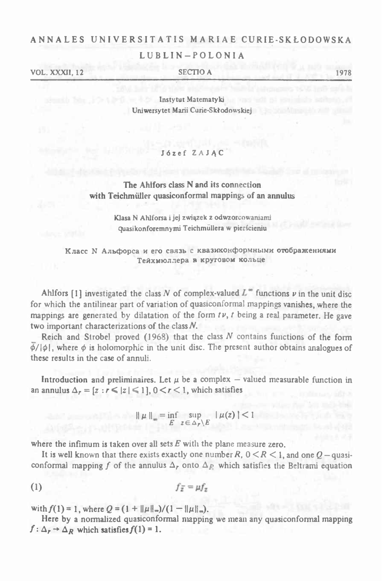#### ANNALES UNIVERSITATIS MARIAE CURIE-SKŁODOWSKA

### LUBLIN-POLONIA

VOL. XXXII, 12 SECTIO A 1978

Instytut Matematyki Uniwersytet Marii Curie-Skłodowskiej

# Józef ZAJAC<sup>+</sup>

### The Ahlfors class N and its connection with Teichmüller quasiconformal mappings of an annulus

Klasa N Ahlforsa i jej związek z odwzorcowaniami quasikonforemnymi Teichmiillera w pierścieniu

Тейхмюллера круговом кольце

Kласс N Альфорса *и* его связь с квазиконформными отображениями<br>
Teйxмюл.tepa в круговом кольце<br>
Ahlfors [1] investigated the class N of complex-valued L<sup>\*</sup> functions *v* in the unit disc<br>
which the antilinear part of var Ahlfors [1] investigated the class N of complex-valued  $L^*$  functions  $\nu$  in the unit disc<br>for which the antilinear part of variation of quasiconformal mappings vanishes, where the mappings are generated by dilatation of the form  $t\nu$ ,  $t$  being a real parameter. He gave two important characterizations of the class A.

Reich and Strobel proved (1968) that the class  $N$  contains functions of the form  $\phi/|\phi|$ , where  $\phi$  is holomorphic in the unit disc. The present author obtains analogues of these results in the case of annuli.

Introduction and preliminaires. Let  $\mu$  be a complex — valued measurable function in annulus  $\Delta_r = [z : r \le |z| \le 1]$ ,  $0 \le r \le 1$ , which satisfies<br> $\|\mu\|_{\infty} = \inf_{E} \sup_{z \in \Delta_r \setminus E} |\mu(z)| < 1$ an annulus  $\Delta_r = [z : r \le |z| \le 1]$ ,  $0 < r < 1$ , which satisfies

 $\|\mu\|_{\infty} = \inf_{E} \sup_{z \in \Delta_{\mathcal{F}} \setminus E} |\mu(z)| < 1$ 

where the infimum is taken over all sets  $E$  with the plane measure zero.

It is well known that there exists exactly one number  $R$ ,  $0 \le R \le 1$ , and one  $Q$  – quasiconformal mapping f of the annulus  $\Delta_f$  onto  $\Delta_g$  which satisfies the Beltrami equation

$$
(1) \t\t f_{\overline{z}} = \mu f_z
$$

with  $f(1) = 1$ , where  $Q = (1 + ||\mu||_{\infty})/(1 - ||\mu||_{\infty})$ .

Here by <sup>a</sup> normalized quasiconformal mapping we mean any quasiconformal mapping  $f: \Delta_r \rightarrow \Delta_R$  which satisfies  $f(1) = 1$ .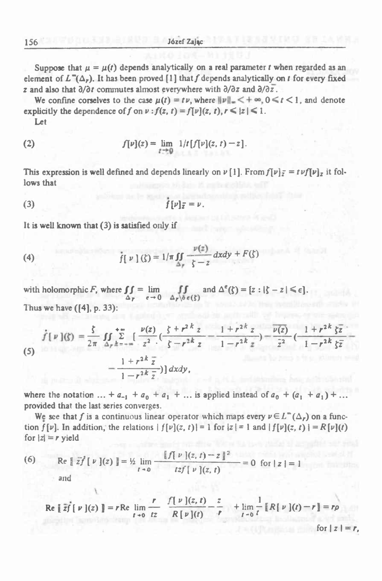Suppose that  $\mu = \mu(t)$  depends analytically on a real parameter *t* when regarded as an element of  $L^{\infty}(\Delta_r)$ . It has been proved [1] that f depends analytically on *t* for every fixed z and also that  $\partial/\partial t$  commutes almost everywhere with  $\partial/\partial z$  and  $\partial/\partial \overline{z}$ .

We confine corselves to the case  $\mu(t) = tv$ , where  $||v|| = \langle +\infty, 0 \le t \le 1 \rangle$ , and denote explicitly the dependence of f on  $\nu$  :  $f(z, t) = f[\nu](z, t), r \leq |z| \leq 1$ . Let

(2) 
$$
f[\nu](z) = \lim_{t \to 0} 1/t [f[\nu](z, t) - z].
$$

This expression is well defined and depends linearly on  $\nu$  [1]. From  $f[\nu]_{\mathcal{I}} = t\nu f[\nu]_{\mathcal{I}}$  it follows that

$$
(3) \t\t f[\nu]_{\overline{z}} = \nu.
$$

It is well known that (3) is satisfied only if

(4) 
$$
\int \int \int |v| \, dv = 1/\pi \int_{\Delta_F} \frac{v(z)}{\zeta - z} \, dxdy + F(\zeta)
$$

with holomorphic *F*, where  $\int_0^1 f = \lim_{h \to 0}$  $\iint_{\Delta_p} = \lim_{\epsilon \to 0}$ Thus we have ([4], p. 33): and  $\Delta^{\mathfrak{e}}(\zeta) = [z : |\zeta - z| \leq \epsilon].$ **...** *... ... ... ... ... ... ... ... ... ... ... ... ... ... ... ... ... ... ... ... ... ... ... ... ... ... ...* 

$$
f[p](\zeta) = \frac{\zeta}{2\pi} \iint_{\Delta_r} \sum_{k=-\infty}^{+\infty} \left[ \frac{\nu(z)}{z^2} \left( \frac{\zeta + r^2 k_z}{\zeta - r^2 k_z} - \frac{1 + r^2 k_z}{1 - r^2 k_z} \right) - \frac{\overline{\nu(z)}}{\overline{z}^2} \left( \frac{1 + r^2 k_z}{1 - r^2 k_z \overline{z}} \right) - \frac{1 + r^2 k_z}{1 - r^2 k_z \overline{z}} \right) dx dy,
$$
\n(5)

where the notation  $\ldots$  +  $a_{-1}$  +  $a_0$  +  $a_1$  +  $\ldots$  is applied instead of  $a_0$  +  $(a_1 + a_1)$  +  $\ldots$ provided that the last series converges.

We see that f is a continuous linear operator which maps every  $\nu \in L^{\infty}(\Delta_r)$  on a function  $f[\nu]$ . In addition, the relations  $|f[\nu](z, t)| = 1$  for  $|z| = 1$  and  $|f[\nu](z, t)| = R[\nu](t)$ for  $|z| = r$  yield

where the notation ... + 
$$
a_{-1} + a_0 + a_1 + ...
$$
 is applied instead of  $a_0 + (a_1)$   
provided that the last series converges.  
We see that f is a continuous linear operator which maps every  $\nu \in L^{\infty}(\Delta$   
tion  $f[\nu]$ . In addition, the relations  $|f[\nu](z, t)| = 1$  for  $|z| = 1$  and  $|f[\nu](z, t)$   
for  $|z| = r$  yield  
  
 $\text{Re } [z\overline{z}^t[\nu](z)] = \frac{1}{2} \lim_{t \to 0} \frac{\int [f \nu](z, t) - z \cdot d^2t}{t z f[\nu](z, t)} = 0$  for  $|z| = 1$   
and

$$
\text{Re } \left[ \left[ \overline{zf} \right] \left[ \nu \right] \right] \left[ z \right] \right] = \frac{1}{2} \lim_{t \to 0} \frac{z}{t z f \left[ \nu \right] \left[ z, t \right]} = 0 \text{ for } |z| = 1
$$
\n
$$
\text{and}
$$
\n
$$
\text{Re } \left[ \overline{zf} \right] \left[ \nu \right] \left[ z \right] \right] = r \text{Re } \lim_{t \to 0} \frac{r}{t z} \frac{f \left[ \nu \right] \left( z, t \right)}{R \left[ \nu \right] \left( t \right)} - \frac{z}{r} + \lim_{t \to 0} \frac{1}{t} \left[ R \left[ \nu \right] \left( t \right) - r \right] = r \rho
$$
\n
$$
\text{for } |z| = r,
$$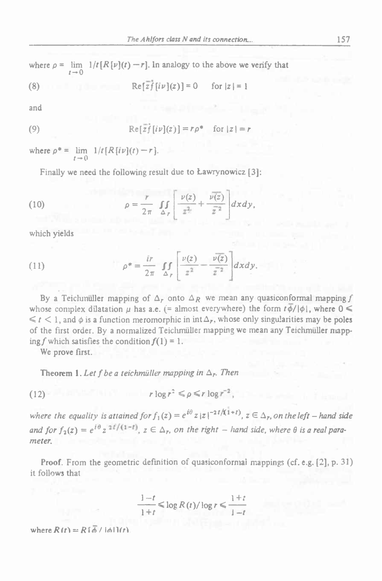$$
(8) \qquad \qquad \text{Re}\{\overline{z}f\{i\nu\}(z)\}=0 \qquad \text{for } |z|=1
$$

and

and  
\n
$$
\operatorname{Re}[\overline{z}\overline{f}[i\nu](z)] = r\rho^* \quad \text{for } |z| = r
$$

where  $\rho^* = \lim_{t \to \infty} 1/t[R[t\nu](t) - r]$ .  $r \rightarrow 0$ 

Finally we need the following result due to Ławrynowicz [3]:

(10) 
$$
\rho = \frac{r}{2\pi} \int_{\Delta_r} \left[ \frac{\nu(z)}{z^2} + \frac{\nu(z)}{\bar{z}^2} \right] dxdy,
$$

which yields

which yields  
\n(11) 
$$
\rho^* = \frac{i r}{2\pi} \int_{\Delta_r} \left[ \frac{\nu(z)}{z^2} - \frac{\overline{\nu(z)}}{\overline{z}^2} \right] dxdy.
$$

By a Teichmüller mapping of  $\Delta_r$  onto  $\Delta_R$  we mean any quasiconformal mapping f whose complex dilatation  $\mu$  has a.e. (= almost everywhere) the form  $t\bar{\phi}/|\phi|$ , where  $0 \le$  $\leq t < 1$ , and  $\phi$  is a function meromorphic in int $\Delta_r$ , whose only singularities may be poles of the first order. By a normalized Teichmiiller mapping we mean any Teichmiiller mapping f which satisfies the condition  $f(1) = 1$ .

We prove first.

Theorem 1. Let *f* be a teichmüller mapping in  $\Delta_r$ . Then

Theorem 1. Let *f* be a teichmüller mapping in 
$$
\Delta_r
$$
. The  
\n $r \log r^2 \le \rho \le r \log r^{-2}$ ,

where the equality is attained for  $f_1(z) = e^{i\theta} z |z|^{-2t/(1+t)}$ ,  $z \in \Delta_r$ , on the left – hand side and for  $f_2(z) = e^{i\theta} z^{-2t/(1-t)}$ ,  $z \in \Delta_r$ , on the right – hand side, where  $\theta$  is a real para*meter.*

Proof. From the geometric definition of quasiconformal mappings (cf. e.g. [2], p. 31) it follows that

$$
\frac{1-t}{1+t} \le \log R(t)/\log r \le \frac{1+t}{1-t}
$$

 $\text{where } R(t) = R(\overline{b}^t / |\overline{b}||t)$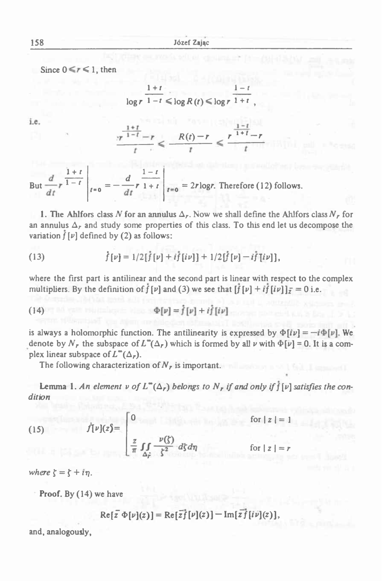Since  $0 \leq r \leq 1$ , then

$$
\frac{1+t}{\log r} \cdot \frac{1-t}{1-t} \leq \log R(t) \leq \log r \cdot \frac{1-t}{1+t},
$$

i.e.

$$
\log r \frac{1+t}{1-t} \le \log R(t) \le \log r \frac{1-t}{1+t},
$$
\n
$$
\frac{1+t}{r^{1-t}-r} \le \frac{R(t)-r}{t} \le \frac{r^{\frac{1-t}{1+t}}-r}{t}
$$

 $\frac{1}{1 - t}$  $f = r$ <br>  $f = 0$  =  $-\frac{d}{dt}r^2 + t$   $r = 2r \log r$ . Therefore (12) follows.  $1 + r$ But  $\frac{d}{r}r^{\frac{1}{1-t}}$ 

**1.** The Ahlfors class N for an annulus  $\Delta_r$ . Now we shall define the Ahlfors class  $N_r$  for an annulus  $\Delta_r$  and study some properties of this class. To this end let us decompose the variation  $f[\nu]$  defined by (2) as follows:

(13) 
$$
\dot{f}[\nu] = 1/2[\dot{f}[\nu] + i\dot{f}[i\nu]] + 1/2[\dot{f}[\nu] - i\dot{f}[i\nu]],
$$

where the first part is antilinear and the second part is linear with respect to the complex multipliers. By the definition of  $f[\nu]$  and (3) we see that  $[f[\nu] + if[i\nu]]_{\overline{\nu}} = 0$  i.e.

(14) 
$$
\Phi[\nu] = f[\nu] + i f[i\nu]
$$

is always a holomorphic function. The antilinearity is expressed by  $\Phi[i\nu] = -i\Phi[\nu]$ . We denote by  $N_r$  the subspace of  $L^{\infty}(\Delta_r)$  which is formed by all  $\nu$  with  $\Phi[\nu] = 0$ . It is a complex linear subspace of  $L^{\infty}(\Delta_r)$ .

The following characterization of *N<sup>r</sup>* is important.

**Lemma 1.** An element v of  $L^{\infty}(\Delta_r)$  belongs to  $N_r$  if and only if  $f[\nu]$  satisfies the con*dition*

(15)  $\dot{f}[\nu](z) = \begin{vmatrix} 0 \\ 0 \end{vmatrix}$ for  $|z| = 1$ for  $|z|$ 

*where*  $\zeta = \zeta + i\eta$ .

Proof. By (14) we have

 $Re[\overline{z} \Phi[\nu](z)] = Re[\overline{z} \overline{f}[\nu](z)] - Im[\overline{z} \overline{f}[\nu](z)],$ 

and, analogously,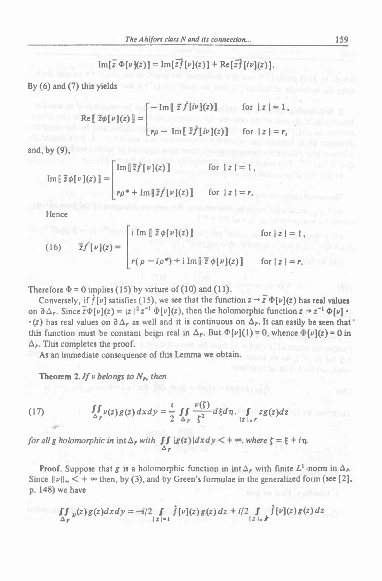$$
\operatorname{Im}\left[\overline{z}\,\Phi[\nu](z)\right] = \operatorname{Im}\left[\overline{z}\overline{f}[\nu](z)\right] + \operatorname{Re}\left[\overline{z}\overline{f}[\nu](z)\right].
$$

By  $(6)$  and  $(7)$  this yields with the Collection contribution of the collection of the collection of  $\alpha$ 

$$
\operatorname{Re} \left[ \overline{z} \phi[\nu](z) \right] = \begin{cases} -\operatorname{Im} \left[ \overline{z} \overline{f}[\overline{i} \nu](z) \right] & \text{for } |z| = 1, \\ r\rho - \operatorname{Im} \left[ \overline{z} \overline{f}[\overline{i} \nu](z) \right] & \text{for } |z| = r, \end{cases}
$$

and, by  $(9)$ ,

$$
\operatorname{Im} \left[ \overline{z} \phi[\nu](z) \right] = \begin{bmatrix} \operatorname{Im} \left[ \overline{z} \overline{f}[\nu](z) \right] & \text{for } |z| = 1 \\ \uparrow \rho^* + \operatorname{Im} \left[ \overline{z} \overline{f}[\nu](z) \right] & \text{for } |z| = r. \end{bmatrix}
$$

Hence

(16) 
$$
\overline{z}f[\nu](z) = \begin{cases} i \text{Im } \left[ \overline{z} \phi[\nu](z) \right] & \text{for } |z| = 1, \\ \Gamma(\rho - i\rho^*) + i \text{Im} \left[ \overline{z} \phi[\nu](z) \right] & \text{for } |z| = r. \end{cases}
$$

Therefore  $\Phi = 0$  implies (15) by virture of (10) and (11).

Conversely, if  $f[\nu]$  satisfies (15), we see that the function  $z \rightarrow \overline{z} \Phi[\nu](z)$  has real values on  $\partial \Delta_r$ . Since  $\overline{z} \Phi[\nu](z) = |z|^2 z^{-1} \Phi[\nu](z)$ , then the holomorphic function  $z \to z^{-1} \Phi[\nu] \cdot$ •(z) has real values on  $\partial \Delta_r$  as well and it is continuous on  $\Delta_r$ . It can easily be seen that on  $\partial \Delta_r$ . Since  $\overline{z} \Phi[\nu](z) = |z|^2 z^{-1} \Phi[\nu](z)$ , then the holomorphic function  $z \to z^{-1} \Phi[\nu] \cdot (z)$  has real values on  $\partial \Delta_r$  as well and it is continuous on  $\Delta_r$ . It can easily be seen that this function must be const  $\Delta_r$ . This completes the proof.

As an immediate consequence of this Lemma we obtain.

Theorem 2. If  $\nu$  belongs to  $N_r$ , then

$$
\Delta_r
$$
. Thus completes the proof.  
\nAs an immediate consequence of this Lemma we obtain.  
\n**Theorem 2.** If v belongs to N<sub>r</sub>, then  
\n(17) 
$$
\iint_{\Delta_r} \nu(z) g(z) dxdy = \frac{1}{2} \iint_{\Delta_r} \frac{\nu(\xi)}{\xi^2} d\xi d\eta. \int_{|z|=r} z g(z) dz
$$
\nfor all g holomorphic in int  $\Delta_r$  with  $\iint_{\Delta_r} |g(z)| dxdy < +\infty$ , where  $\xi = \xi$ 

for all g holomorphic in  $\int \int \int |g(z)| dx dy < +\infty$ , where  $\zeta = \xi + i\eta$ .  $\Delta$ r and an

Proof. Suppose that *g* is a holomorphic function in  $int \Delta_r$  with finite  $L^1$ -norm in  $\Delta_r$ . Since  $||v||_{\infty} < +\infty$  then, by (3), and by Green's formulae in the generalized form (see [2], p. 148) we have

we have  
\n
$$
\iint_{\Delta_F} p(z) g(z) dxdy = -i/2 \int_{|z|=1} f[\nu](z) g(z) dz + i/2 \int_{|z|=1} f[\nu](z) g(z) dz
$$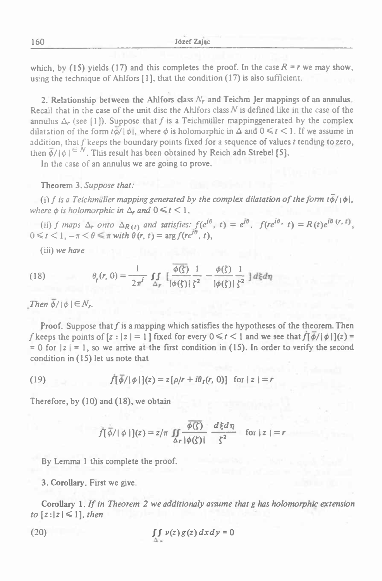which, by (15) yields (17) and this completes the proof. In the case  $R = r$  we may show, using the technique of Ahlfors [1], that the condition (17) is also sufficient.

2. Relationship between the Ahlfors class  $N_r$  and Teichm Jer mappings of an annulus. Recall that in the case of the unit disc the Ahlfors class *N* is defined like in the case of the annulus  $\Delta_r$  (see [1]). Suppose that f is a Teichmüller mappinggenerated by the complex dilatation of the form  $t\phi/\phi$ , where  $\phi$  is holomorphic in  $\Delta$  and  $0 \le t \le 1$ . If we assume in addition, that  $f$  keeps the boundary points fixed for a sequence of values  $t$  tending to zero, then  $\overline{\phi}/|\phi| \in N$ . This result has been obtained by Reich adn Strebel [5].

In the case of an annulus we are going to prove.

#### Theorem 3. *Suppose that:*

(i) f is a Teichmüller mapping generated by the complex dilatation of the form  $t\ddot{\phi}/|\phi|$ , *where*  $\phi$  *is holomorphic in*  $\Delta_r$  *and*  $0 \le t \le 1$ ,

ere  $\phi$  is holomorphic in  $\Delta_r$  and  $0 \le t < 1$ ,<br>(ii) f maps  $\Delta_r$  onto  $\Delta_{R(t)}$  and satisfies:  $f(e^{i\theta}, t) = e^{i\theta}$ ,  $f(re^{i\theta}, t) = R(t)e^{i\theta}$  (regression) **Theorem 3. Suppose that:**<br>(i) f is a Teichmüller mapping generated by the<br>where  $\phi$  is holomorphic in  $\Delta_r$  and  $0 \le t < 1$ ,<br>(ii) f maps  $\Delta_r$  onto  $\Delta_{R(t)}$  and satisfies:  $f(e^{i\theta}$ <br> $0 \le t < 1, -\pi < \theta \le \pi$  with  $\theta(r, t) = \arg f(re^{$ 

(iii) *we have*

(18) 
$$
\theta_{r}(r, 0) = \frac{1}{2\pi^{r}} \int_{\Delta_{r}} \left[ \frac{\overline{\phi(\xi)}}{|\phi(\xi)|} \frac{1}{\xi^{2}} - \frac{\phi(\xi)}{|\phi(\xi)|} \frac{1}{\xi^{2}} \right] d\xi d\eta
$$

*Then*  $\overline{\phi}/|\phi| \in N_r$ .

Proof. Suppose that  $f$  is a mapping which satisfies the hypotheses of the theorem. Then f keeps the points of  $[z : |z| = 1]$  fixed for every  $0 \le t \le 1$  and we see that  $f[\overline{\phi}/|\phi|](z) =$  $= 0$  for  $|z| = 1$ , so we arrive at the first condition in (15). In order to verify the second condition in (15) let us note that

(19) 
$$
\dot{f}[\bar{\phi}/|\phi|](z) = z[\rho/r + i\theta_t(r, 0)] \text{ for } |z| = r
$$

Therefore, by (10) and (18), we obtain

and (18), we obtain  
\n
$$
f(\overline{\phi}/|\phi|)(z) = z/\pi \iint_{\Delta r} \frac{\overline{\phi(\zeta)}}{|\phi(\zeta)|} \frac{d\xi d\eta}{\zeta^2} \quad \text{for } |z| = r
$$

By Lemma <sup>1</sup> this complete the proof.

3. Corollary. First we give.

Corollary 1. If in Theorem 2 we additionaly assume that g has holomorphic extension *to*  $[z:|z| \leq 1]$ *, then* 

(20) 
$$
\iint v(z) g(z) dx dy = 0
$$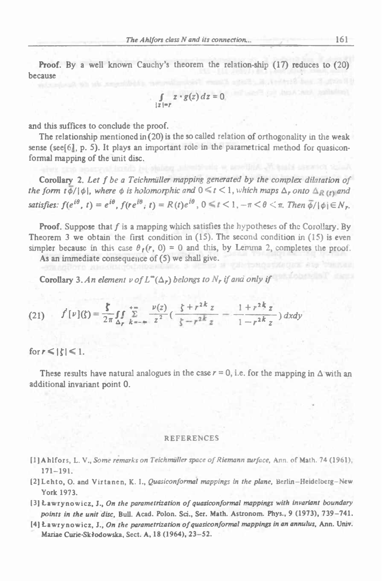Proof. By <sup>a</sup> well known Cauchy'<sup>s</sup> theorem the relation-ship (17) reduces to (20) because

$$
\int_{|z|=r} z \cdot g(z) dz = 0
$$

and this suffices to conclude the proof.

The relationship mentioned in  $(20)$  is the so called relation of orthogonality in the weak sense (see $[6]$ , p. 5). It plays an important role in the parametrical method for quasiconformal mapping of the unit disc.

**Corollary 2.** Let f be a Teichmüller mapping generated by the complex dilatation of the form  $t\bar{\phi}/|\phi|$ , where  $\phi$  is holomorphic and  $0 \le t \le 1$ , which maps  $\Delta_r$  onto  $\Delta_R$  (r) and and this suffices to conclude the proof.<br>
The relationship mentioned in (20) is the so called relation of orthogonality in the weak<br>
sense (see[6], p. 5). It plays an important role in the parametrical method for quasicon satisfies:  $f(e^{i\theta}, t) = e^{i\theta}, f(re^{i\theta}, t) = R(t)e^{i\theta}, 0 \le t < 1, -\pi < \theta < \pi$ . Then  $\overline{\phi}/|\phi| \in N_r$ .

Proof. Suppose that *f* is <sup>a</sup> mapping which satisfies the hypotheses of the Corollary. By Theorem 3 we obtain the first condition in  $(15)$ . The second condition in  $(15)$  is even simpler because in this case  $\theta_f(r, 0) = 0$  and this, by Lemma 2, completes the proof.

As an immediate consequence of (5) we shall give.

**Corollary 3.** An element v of  $L^{\infty}(\Delta_r)$  belongs to  $N_r$  if and only if

**Corollary 3.** An element 
$$
v
$$
 of  $L^{\infty}(\Delta_r)$  belongs to  $N_r$  if and only if  
\n(21)  $f'[\nu](\zeta) = \frac{\zeta}{2\pi} \int_{\Delta_r} \sum_{k=-\infty}^{+\infty} \frac{\nu(z)}{z^2} \left( \frac{\zeta + r^{2k} z}{\zeta - r^{2k} z} - \frac{1 + r^{2k} z}{1 - r^{2k} z} \right) dxdy$ 

for  $r \leq |\zeta| \leq 1$ .

These results have natural analogues in the case  $r = 0$ , i.e. for the mapping in  $\Delta$  with an additional invariant point 0.

#### REFERENCES

- [ 1] Ahlfors, L. V., *Some remarks on Teichmiillcr space of Riemann surface, isxm.* of Math. <sup>74</sup> (1961), 171-191.
- (2JLehto, O. and Virtanen, K. I., *Quasiconformal mappings in the plane,* Berlin-Heidelberg-New York 1973.
- 13] Ławrynowicz, J., *On the parametrization of quasiconformal mappings with invariant boundary points in the unit disc.* Bull. Acad. Polon. Sci., Ser. Math. Astronom. Phys., <sup>9</sup> (1973), 739-741.
- [4] Ławrynowicz, J., *On the parametrization of quasiconformal mappings in an annulus,* Ann. Univ. Mariae Curie-Sklodowska, Sect. A, 18 (1964), 23-52.